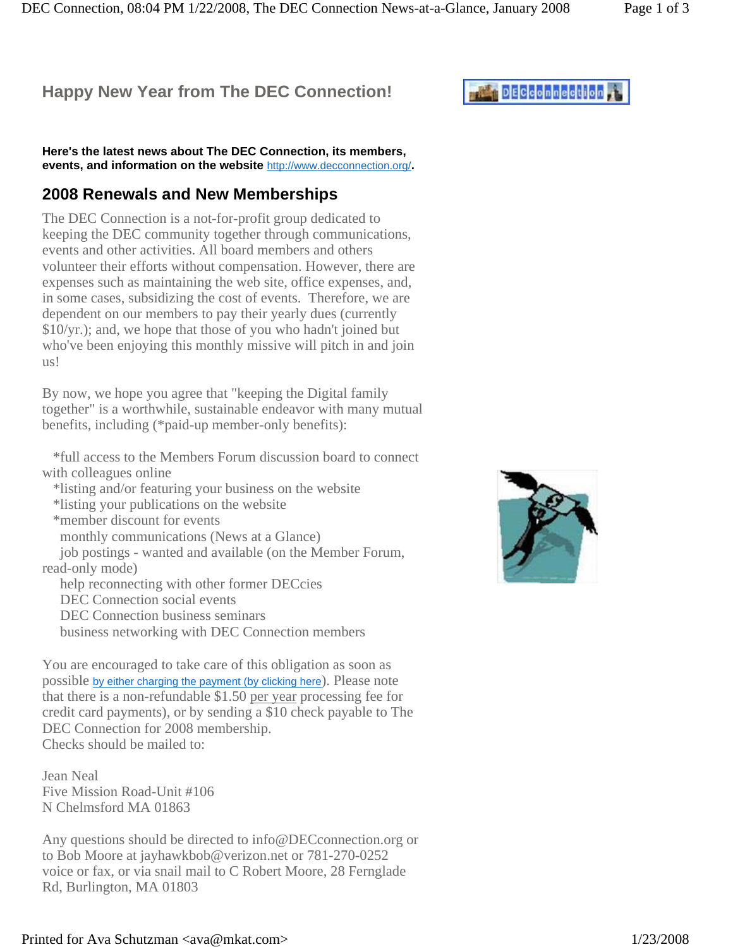# **Happy New Year from The DEC Connection!**

DEC Connection, 08:04 PM 1/22/2008, The DEC Connection News-at-a-Glance, January 2008 Page 1 of 3

**Here's the latest news about The DEC Connection, its members, events, and information on the website** http://www.decconnection.org/**.**

#### **2008 Renewals and New Memberships**

The DEC Connection is a not-for-profit group dedicated to keeping the DEC community together through communications, events and other activities. All board members and others volunteer their efforts without compensation. However, there are expenses such as maintaining the web site, office expenses, and, in some cases, subsidizing the cost of events. Therefore, we are dependent on our members to pay their yearly dues (currently \$10/yr.); and, we hope that those of you who hadn't joined but who've been enjoying this monthly missive will pitch in and join us!

By now, we hope you agree that "keeping the Digital family together" is a worthwhile, sustainable endeavor with many mutual benefits, including (\*paid-up member-only benefits):

 \*full access to the Members Forum discussion board to connect with colleagues online

 \*listing and/or featuring your business on the website \*listing your publications on the website \*member discount for events

monthly communications (News at a Glance)

 job postings - wanted and available (on the Member Forum, read-only mode)

 help reconnecting with other former DECcies DEC Connection social events DEC Connection business seminars

business networking with DEC Connection members

You are encouraged to take care of this obligation as soon as possible by either charging the payment (by clicking here). Please note that there is a non-refundable \$1.50 per year processing fee for credit card payments), or by sending a \$10 check payable to The DEC Connection for 2008 membership. Checks should be mailed to:

Jean Neal Five Mission Road-Unit #106 N Chelmsford MA 01863

Any questions should be directed to info@DECconnection.org or to Bob Moore at jayhawkbob@verizon.net or 781-270-0252 voice or fax, or via snail mail to C Robert Moore, 28 Fernglade Rd, Burlington, MA 01803

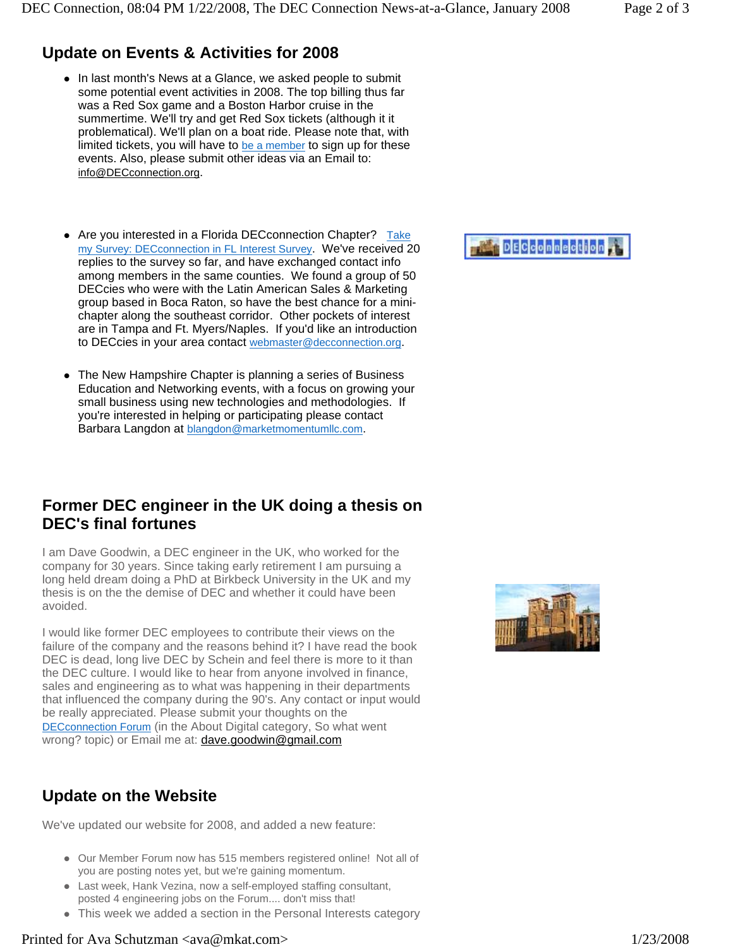# **Update on Events & Activities for 2008**

- In last month's News at a Glance, we asked people to submit some potential event activities in 2008. The top billing thus far was a Red Sox game and a Boston Harbor cruise in the summertime. We'll try and get Red Sox tickets (although it it problematical). We'll plan on a boat ride. Please note that, with limited tickets, you will have to be a member to sign up for these events. Also, please submit other ideas via an Email to: info@DECconnection.org.
- Are you interested in a Florida DECconnection Chapter? Take my Survey: DECconnection in FL Interest Survey. We've received 20 replies to the survey so far, and have exchanged contact info among members in the same counties. We found a group of 50 DECcies who were with the Latin American Sales & Marketing group based in Boca Raton, so have the best chance for a minichapter along the southeast corridor. Other pockets of interest are in Tampa and Ft. Myers/Naples. If you'd like an introduction to DECcies in your area contact webmaster@decconnection.org.
- The New Hampshire Chapter is planning a series of Business Education and Networking events, with a focus on growing your small business using new technologies and methodologies. If you're interested in helping or participating please contact Barbara Langdon at blangdon@marketmomentumllc.com.

### **Former DEC engineer in the UK doing a thesis on DEC's final fortunes**

I am Dave Goodwin, a DEC engineer in the UK, who worked for the company for 30 years. Since taking early retirement I am pursuing a long held dream doing a PhD at Birkbeck University in the UK and my thesis is on the the demise of DEC and whether it could have been avoided.

I would like former DEC employees to contribute their views on the failure of the company and the reasons behind it? I have read the book DEC is dead, long live DEC by Schein and feel there is more to it than the DEC culture. I would like to hear from anyone involved in finance, sales and engineering as to what was happening in their departments that influenced the company during the 90's. Any contact or input would be really appreciated. Please submit your thoughts on the DECconnection Forum (in the About Digital category, So what went wrong? topic) or Email me at: dave.goodwin@gmail.com

# **Update on the Website**

We've updated our website for 2008, and added a new feature:

- Our Member Forum now has 515 members registered online! Not all of you are posting notes yet, but we're gaining momentum.
- Last week, Hank Vezina, now a self-employed staffing consultant, posted 4 engineering jobs on the Forum.... don't miss that!
- This week we added a section in the Personal Interests category